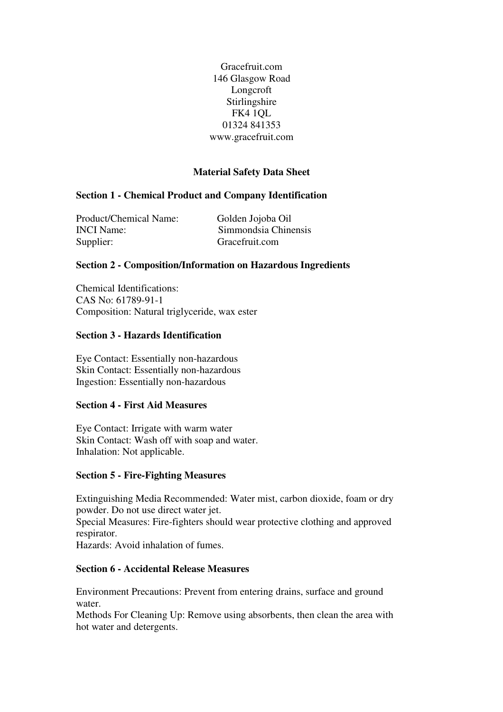Gracefruit.com 146 Glasgow Road Longcroft Stirlingshire FK4 1QL 01324 841353 www.gracefruit.com

# **Material Safety Data Sheet**

## **Section 1 - Chemical Product and Company Identification**

Product/Chemical Name: Golden Jojoba Oil INCI Name: Simmondsia Chinensis Supplier: Gracefruit.com

## **Section 2 - Composition/Information on Hazardous Ingredients**

Chemical Identifications: CAS No: 61789-91-1 Composition: Natural triglyceride, wax ester

#### **Section 3 - Hazards Identification**

Eye Contact: Essentially non-hazardous Skin Contact: Essentially non-hazardous Ingestion: Essentially non-hazardous

## **Section 4 - First Aid Measures**

Eye Contact: Irrigate with warm water Skin Contact: Wash off with soap and water. Inhalation: Not applicable.

#### **Section 5 - Fire-Fighting Measures**

Extinguishing Media Recommended: Water mist, carbon dioxide, foam or dry powder. Do not use direct water jet.

Special Measures: Fire-fighters should wear protective clothing and approved respirator.

Hazards: Avoid inhalation of fumes.

## **Section 6 - Accidental Release Measures**

Environment Precautions: Prevent from entering drains, surface and ground water.

Methods For Cleaning Up: Remove using absorbents, then clean the area with hot water and detergents.